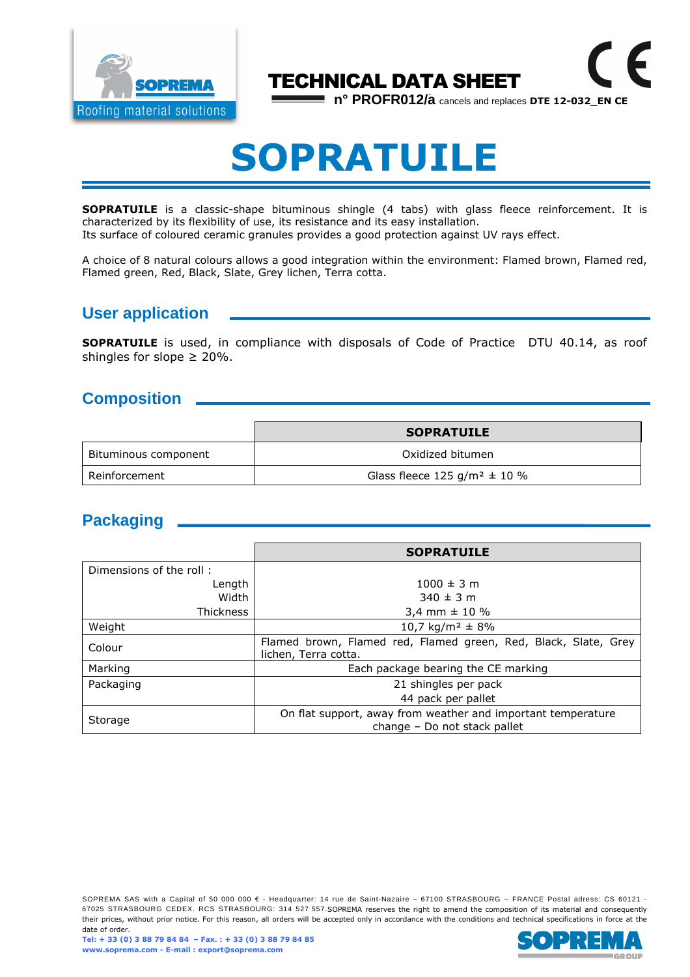

# TECHNICAL DATA SHEET

**n° PROFR012/a** cancels and replaces **DTE 12-032\_EN CE**

 $\epsilon$ 

# **SOPRATUILE**

**SOPRATUILE** is a classic-shape bituminous shingle (4 tabs) with glass fleece reinforcement. It is characterized by its flexibility of use, its resistance and its easy installation.

Its surface of coloured ceramic granules provides a good protection against UV rays effect.

A choice of 8 natural colours allows a good integration within the environment: Flamed brown, Flamed red, Flamed green, Red, Black, Slate, Grey lichen, Terra cotta.

#### **User application**

**SOPRATUILE** is used, in compliance with disposals of Code of Practice DTU 40.14, as roof shingles for slope  $\geq 20\%$ .

#### **Composition**

|                      | <b>SOPRATUILE</b>                            |  |
|----------------------|----------------------------------------------|--|
| Bituminous component | Oxidized bitumen                             |  |
| Reinforcement        | Glass fleece 125 g/m <sup>2</sup> $\pm$ 10 % |  |

### **Packaging**

|                         | <b>SOPRATUILE</b>                                                                            |  |
|-------------------------|----------------------------------------------------------------------------------------------|--|
| Dimensions of the roll: |                                                                                              |  |
| Length                  | $1000 \pm 3$ m                                                                               |  |
| Width                   | $340 \pm 3$ m                                                                                |  |
| <b>Thickness</b>        | 3,4 mm $\pm$ 10 %                                                                            |  |
| Weight                  | 10,7 kg/m <sup>2</sup> $\pm$ 8%                                                              |  |
| Colour                  | Flamed brown, Flamed red, Flamed green, Red, Black, Slate, Grey<br>lichen, Terra cotta.      |  |
| Marking                 | Each package bearing the CE marking                                                          |  |
| Packaging               | 21 shingles per pack                                                                         |  |
|                         | 44 pack per pallet                                                                           |  |
| Storage                 | On flat support, away from weather and important temperature<br>change - Do not stack pallet |  |

SOPREMA SAS with a Capital of 50 000 000 € - Headquarter: 14 rue de Saint-Nazaire – 67100 STRASBOURG – FRANCE Postal adress: CS 60121 -67025 STRASBOURG CEDEX. RCS STRASBOURG: 314 527 557.SOPREMA reserves the right to amend the composition of its material and consequently their prices, without prior notice. For this reason, all orders will be accepted only in accordance with the conditions and technical specifications in force at the date of order.